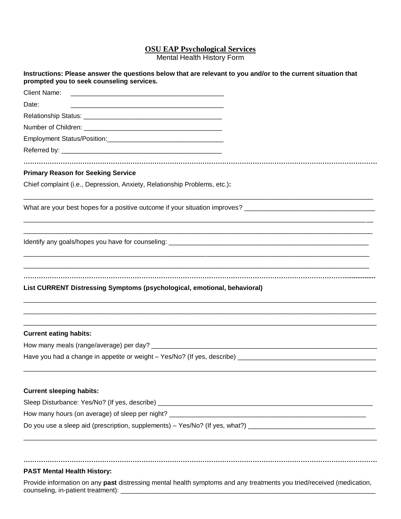## **OSU EAP Psychological Services**

Mental Health History Form

| Instructions: Please answer the questions below that are relevant to you and/or to the current situation that<br>prompted you to seek counseling services.                                                                              |
|-----------------------------------------------------------------------------------------------------------------------------------------------------------------------------------------------------------------------------------------|
| Client Name:<br><u> 2000 - Jan James James James James James James James James James James James James James James James James J</u>                                                                                                    |
| Date:                                                                                                                                                                                                                                   |
|                                                                                                                                                                                                                                         |
|                                                                                                                                                                                                                                         |
|                                                                                                                                                                                                                                         |
|                                                                                                                                                                                                                                         |
|                                                                                                                                                                                                                                         |
| <b>Primary Reason for Seeking Service</b>                                                                                                                                                                                               |
| Chief complaint (i.e., Depression, Anxiety, Relationship Problems, etc.):                                                                                                                                                               |
| <u> 1990 - Johann Stoff, deutscher Stoff, der Stoff, der Stoff, der Stoff, der Stoff, der Stoff, der Stoff, der S</u><br>What are your best hopes for a positive outcome if your situation improves? __________________________________ |
|                                                                                                                                                                                                                                         |
| List CURRENT Distressing Symptoms (psychological, emotional, behavioral)                                                                                                                                                                |
| <b>Current eating habits:</b>                                                                                                                                                                                                           |
|                                                                                                                                                                                                                                         |
|                                                                                                                                                                                                                                         |
| <b>Current sleeping habits:</b>                                                                                                                                                                                                         |
|                                                                                                                                                                                                                                         |
|                                                                                                                                                                                                                                         |
| Do you use a sleep aid (prescription, supplements) – Yes/No? (If yes, what?) _________________________________                                                                                                                          |
|                                                                                                                                                                                                                                         |

## **PAST Mental Health History:**

Provide information on any **past** distressing mental health symptoms and any treatments you tried/received (medication, counseling, in-patient treatment):